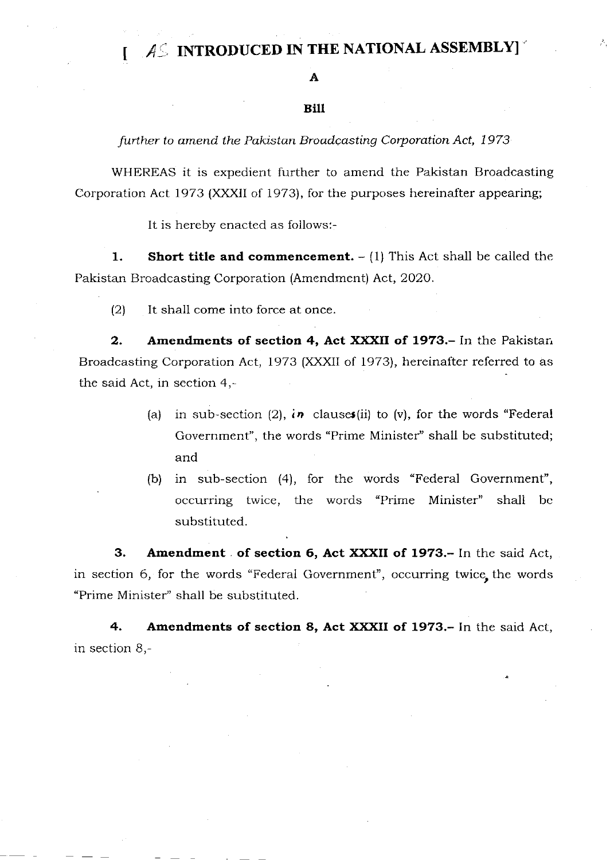## $1.4\%$  INTRODUCED IN THE NATIONAL ASSEMBLY]

## A

## Bilt

further to amend the Pakistan Broadcasting Corporation Act, 1973

WHEREAS it is expedient further to amend the Pakistan Broadcasting Corporation Act 1973 (XXXII of 1973), for the purposes hereinafter appearing;

It is hereby enacted as follows:-

1. Short title and commencement.  $- (1)$  This Act shall be called the. Pakistan Broadcasting Corporation (Amendment) Act, 2O2O.

 $(2)$  It shall come into force at once.

2. Amendments of section 4, Act XXXII of 1973.- In the Pakistar, Broadcasting Corporation Act, 1973 (XXXII of 1973), hereinafter referred to as the said Act, in section 4,

- (a) in sub-section (2), in clauses (ii) to (v), for the words "Federal Government", the words "Prime Minister" shall be substituted; and
- (b) in sub-section (4), for the words "Federal Government", occurring twice, the words "Prime Minister" shall be substituted.

3. Amendment of section 6, Act XXXII of 1973.- In the said Act, in section 6, for the words "Federal Government", occurring twice, the words "Prime Minister'' shall be substituted.

4. Amendments of section 8, Act XXXII of 1973.- In the said Act, in section B,-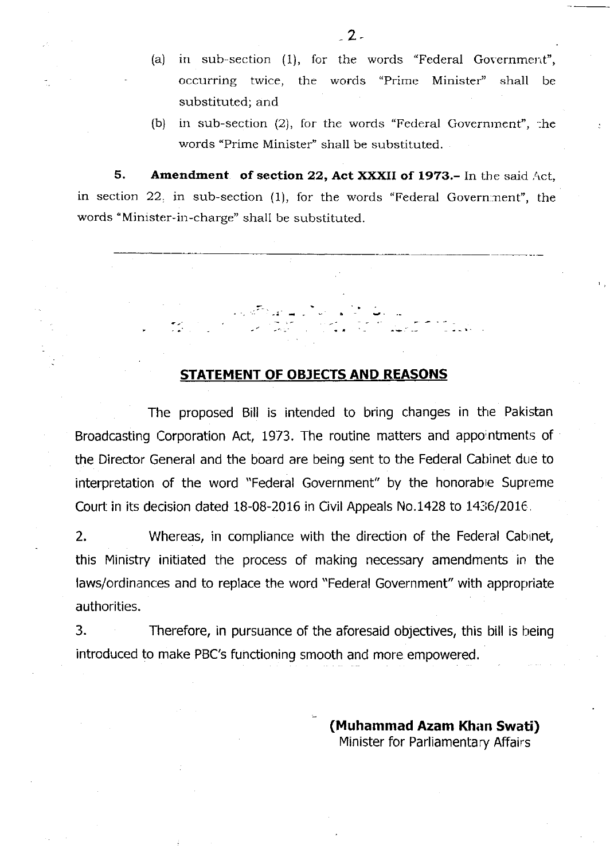- (a) in sub-section  $(1)$ , for the words "Federal Government", occurring twice, the words "Prime Minister" shall be substituted; and
- (b) in sub-section (2), for the words "Federal Governrnent", :he words "Prime Minister" shall be substituted.

5. Amendment. of section 22, Act XXXII of 1973.- In the said Act, in section 22, in sub-section (1), for the words "Federal Government", the words "Minister-in-charge" shall be substituted.

## <u>STATEMENT OF OBJECTS AND REASONS</u>

The proposed Bill is intended to bring changes in the Pakistan Broadcasting Corporation Act, 1973. The routine matters and appointments of the Director General and the board are being sent to the Federal Cabinet due to interpretation of the word "Federal Government" by the honorable Supreme Court in its decision dated  $18-08-2016$  in Civil Appeals No.1428 to  $1436/2016$ .

2. Whereas, in compliance with the direction of the Federal Cabinet, this Ministry initiated the process of making necessary amendments in the laws/ordinances and to replace the word "Federal Government" with appropriate authorities.

3. Therefore, in pursuance of the aforesaid objectives, this bill is being introduced to make PBC's functioning smooth and more empowered.

> (Muhammad Azam Khan Swati) Minister for Parliamentary Affairs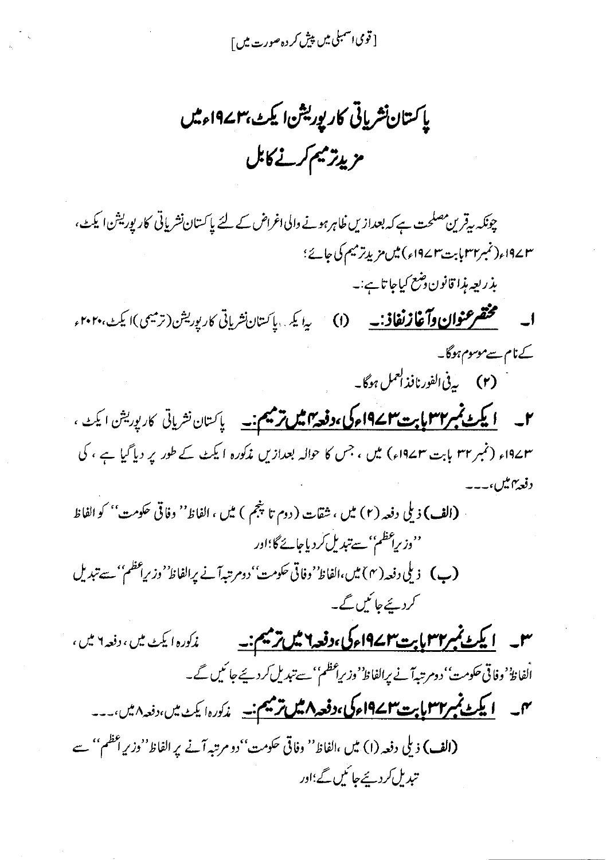[ قومی اسمبلی میں پیش کر دہ صورت میں ]

ياكستان نشرياتي كاريوريشن اليكث بهم ١٩٧ءميس مزيدتر ميم كرنے كابل

چونکہ سرقرین مصلحت ہے کہ بعدازیں ظاہر ہونے والی اغراض کے لئے پاکستان نشریاتی کارپوریشن ایکٹ، ٣٢ /١٩٤ (نمبر٣٢ بابت٣٢ ١٩٧) ميں مزيد ترميم كى جائے؛ بذريعه مذا قانون دشع كياجا تاہے:۔

**ا۔ مختصر عنوا<u>ن وآ غاز نفاذ:۔</u> (ا**) یا یک پاکستان نشریاتی کارپوریش(ترمیمی)ا یکٹ،۲۰۲۰ء کے نام سےموسوم ہوگا۔ (۲) په پې<sup>1</sup>الفورنافذ ک<sup>عمل</sup> ہوگا۔

۲۔ ایکٹ مجس<del>ر ۱۳۲ بابت ۱۹۷۲ء کی ،دفعہ ایس ترمیم ن</del>ے پاکستان نشریاتی کارپوریشن ایکٹ ، ۱۹۷۳ء (نمبر ۳۲ بابت ۱۹۷۳ء) میں ، جس کا حوالہ بعدازیں مذکورہ ایکٹ کے طور پر دیا گیا ہے ، کی د فعه ۱۳ میل

(الف) ذيلي دفعه (٢) ميں ، شقات (دوم تا پنجم ) ميں ، الفاظ'' دفاقي حكومت'' كو الفاظ ''وزیراعظم'' سےتبدیل کردیاجائے گا؛اور (ب) ذيلي دفعه ( ۴ ) ميں،الفاظ' وفاتی حکومت' دومرتبہآنے پرالفاظ' وزیراعظم'' سے تبدیل کردیئے جائیں گے۔

سل <mark>لا یکٹ ٹمبر۳۳ پاپت ۱۹۷۲ءکی،دفعہ ۲ میں ترمیم:۔</mark> زکورہ ایکٹ میں،دفعہ ۲ میں، الفاظ ُ وفاقي حكومت' دومرتبهآ نے برالفاظ' وزیراعظم'' سے تبدیل کردیئے جا ئیں گے۔ مہم کے م<mark>یکٹ ٹمبر ۲۳ مایت ۲۳ کے 9امرکی ،دفعہ ۸ میں ترمیم ن</mark>ے غ*رگورہ ایکٹ میں ،دفعہ ۸ میں ۔۔۔* (الف) ذيلي دفعه (١) ميں ،الفاظ'' وفاقي حكومت''دو مرتبہ آنے پر الفاظ''وزيرِ اعظم'' سے تید مل کرد بچے جا ٹکیں گے؛اور